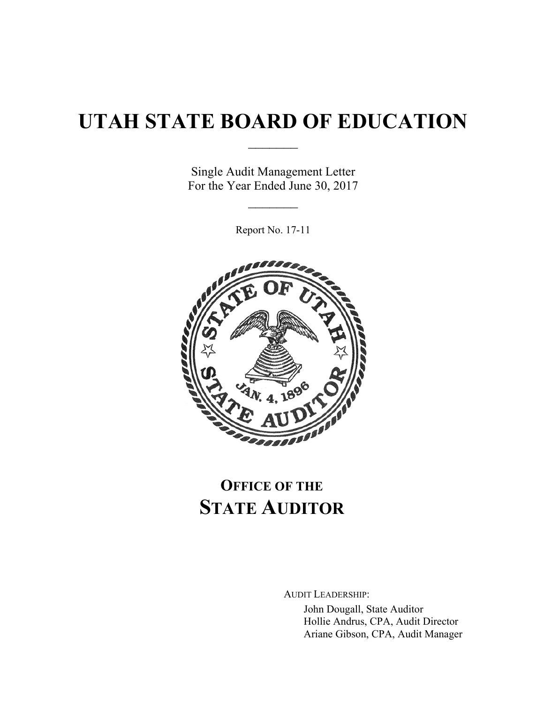# **UTAH STATE BOARD OF EDUCATION**

 $\frac{1}{2}$ 

Single Audit Management Letter For the Year Ended June 30, 2017

 $\frac{1}{2}$ 

Report No. 17-11



## **OFFICE OF THE STATE AUDITOR**

AUDIT LEADERSHIP:

John Dougall, State Auditor Hollie Andrus, CPA, Audit Director Ariane Gibson, CPA, Audit Manager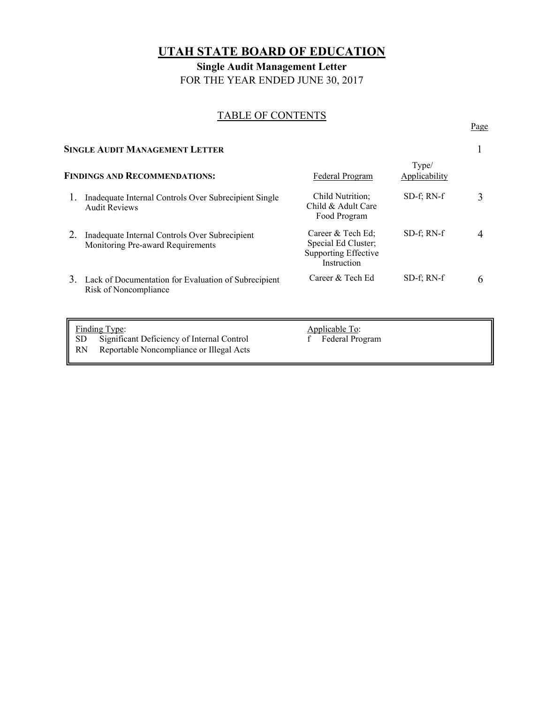### **UTAH STATE BOARD OF EDUCATION**

**Single Audit Management Letter**  FOR THE YEAR ENDED JUNE 30, 2017

# TABLE OF CONTENTS Page

| <b>SINGLE AUDIT MANAGEMENT LETTER</b>                                               |                                                                                                 |                        |   |
|-------------------------------------------------------------------------------------|-------------------------------------------------------------------------------------------------|------------------------|---|
|                                                                                     | Federal Program                                                                                 | Type/<br>Applicability |   |
| Inadequate Internal Controls Over Subrecipient Single<br><b>Audit Reviews</b>       | Child Nutrition;<br>Child & Adult Care<br>Food Program                                          | $SD-f$ ; RN- $f$       | 3 |
| Inadequate Internal Controls Over Subrecipient<br>Monitoring Pre-award Requirements | Career & Tech Ed;<br>Special Ed Cluster;<br><b>Supporting Effective</b><br>Instruction          | $SD-f$ ; RN- $f$       | 4 |
| Risk of Noncompliance                                                               | Career & Tech Ed                                                                                | $SD-f$ ; RN- $f$       | 6 |
|                                                                                     | <b>FINDINGS AND RECOMMENDATIONS:</b><br>3. Lack of Documentation for Evaluation of Subrecipient |                        |   |

Finding Type:<br>
SD Significant Deficiency of Internal Control<br>
f Federal Program Significant Deficiency of Internal Control

RN Reportable Noncompliance or Illegal Acts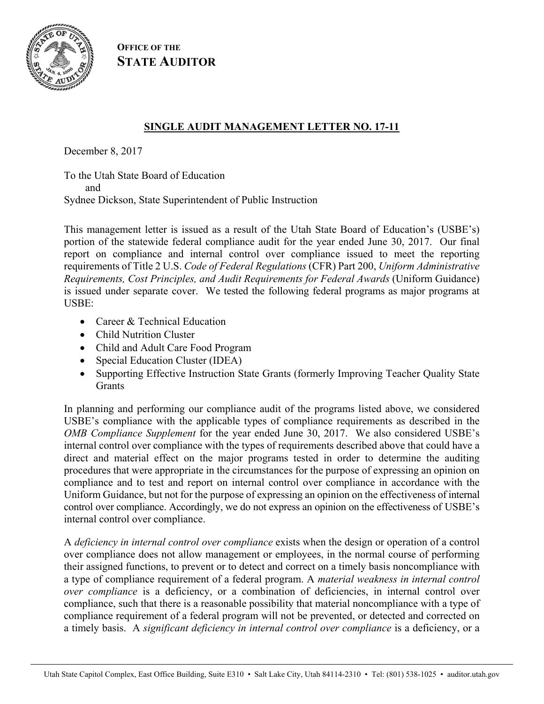

**OFFICE OF THE STATE AUDITOR**

### **SINGLE AUDIT MANAGEMENT LETTER NO. 17-11**

December 8, 2017

To the Utah State Board of Education and Sydnee Dickson, State Superintendent of Public Instruction

This management letter is issued as a result of the Utah State Board of Education's (USBE's) portion of the statewide federal compliance audit for the year ended June 30, 2017. Our final report on compliance and internal control over compliance issued to meet the reporting requirements of Title 2 U.S. *Code of Federal Regulations* (CFR) Part 200, *Uniform Administrative Requirements, Cost Principles, and Audit Requirements for Federal Awards* (Uniform Guidance) is issued under separate cover. We tested the following federal programs as major programs at USBE:

- Career & Technical Education
- Child Nutrition Cluster
- Child and Adult Care Food Program
- Special Education Cluster (IDEA)
- Supporting Effective Instruction State Grants (formerly Improving Teacher Quality State **Grants**

In planning and performing our compliance audit of the programs listed above, we considered USBE's compliance with the applicable types of compliance requirements as described in the *OMB Compliance Supplement* for the year ended June 30, 2017. We also considered USBE's internal control over compliance with the types of requirements described above that could have a direct and material effect on the major programs tested in order to determine the auditing procedures that were appropriate in the circumstances for the purpose of expressing an opinion on compliance and to test and report on internal control over compliance in accordance with the Uniform Guidance, but not for the purpose of expressing an opinion on the effectiveness of internal control over compliance. Accordingly, we do not express an opinion on the effectiveness of USBE's internal control over compliance.

A *deficiency in internal control over compliance* exists when the design or operation of a control over compliance does not allow management or employees, in the normal course of performing their assigned functions, to prevent or to detect and correct on a timely basis noncompliance with a type of compliance requirement of a federal program. A *material weakness in internal control over compliance* is a deficiency, or a combination of deficiencies, in internal control over compliance, such that there is a reasonable possibility that material noncompliance with a type of compliance requirement of a federal program will not be prevented, or detected and corrected on a timely basis. A *significant deficiency in internal control over compliance* is a deficiency, or a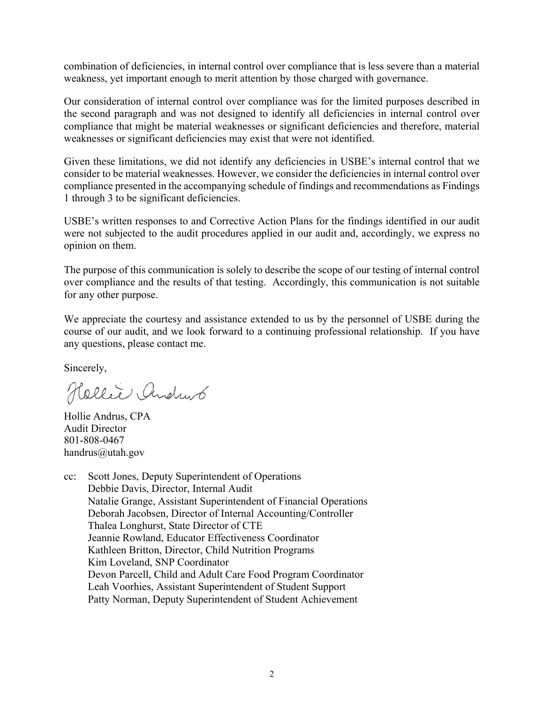combination of deficiencies, in internal control over compliance that is less severe than a material weakness, yet important enough to merit attention by those charged with governance.

Our consideration of internal control over compliance was for the limited purposes described in the second paragraph and was not designed to identify all deficiencies in internal control over compliance that might be material weaknesses or significant deficiencies and therefore, material weaknesses or significant deficiencies may exist that were not identified.

Given these limitations, we did not identify any deficiencies in USBE's internal control that we consider to be material weaknesses. However, we consider the deficiencies in internal control over compliance presented in the accompanying schedule of findings and recommendations as Findings 1 through 3 to be significant deficiencies.

USBE's written responses to and Corrective Action Plans for the findings identified in our audit were not subjected to the audit procedures applied in our audit and, accordingly, we express no opinion on them.

The purpose of this communication is solely to describe the scope of our testing of internal control over compliance and the results of that testing. Accordingly, this communication is not suitable for any other purpose.

We appreciate the courtesy and assistance extended to us by the personnel of USBE during the course of our audit, and we look forward to a continuing professional relationship. If you have any questions, please contact me.

Sincerely,

Hellie Andrus

Hollie Andrus, CPA Audit Director 801-808-0467 handrus@utah.gov

cc: Scott Jones, Deputy Superintendent of Operations Debbie Davis, Director, Internal Audit Natalie Grange, Assistant Superintendent of Financial Operations Deborah Jacobsen, Director of Internal Accounting/Controller Thalea Longhurst, State Director of CTE Jeannie Rowland, Educator Effectiveness Coordinator Kathleen Britton, Director, Child Nutrition Programs Kim Loveland, SNP Coordinator Devon Parcell, Child and Adult Care Food Program Coordinator Leah Voorhies, Assistant Superintendent of Student Support Patty Norman, Deputy Superintendent of Student Achievement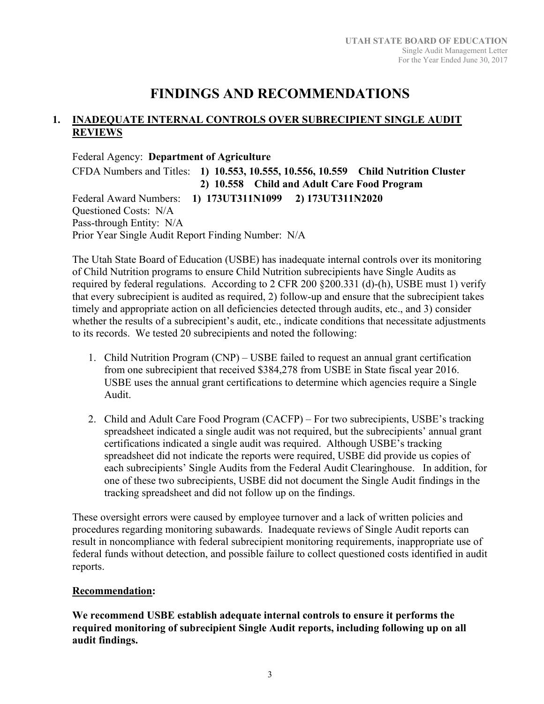### **FINDINGS AND RECOMMENDATIONS**

#### **1. INADEQUATE INTERNAL CONTROLS OVER SUBRECIPIENT SINGLE AUDIT REVIEWS**

Federal Agency: **Department of Agriculture**  CFDA Numbers and Titles: **1) 10.553, 10.555, 10.556, 10.559 Child Nutrition Cluster 2) 10.558 Child and Adult Care Food Program**  Federal Award Numbers: **1) 173UT311N1099 2) 173UT311N2020**  Questioned Costs: N/A Pass-through Entity: N/A Prior Year Single Audit Report Finding Number: N/A

The Utah State Board of Education (USBE) has inadequate internal controls over its monitoring of Child Nutrition programs to ensure Child Nutrition subrecipients have Single Audits as required by federal regulations. According to 2 CFR 200 §200.331 (d)-(h), USBE must 1) verify that every subrecipient is audited as required, 2) follow-up and ensure that the subrecipient takes timely and appropriate action on all deficiencies detected through audits, etc., and 3) consider whether the results of a subrecipient's audit, etc., indicate conditions that necessitate adjustments to its records. We tested 20 subrecipients and noted the following:

- 1. Child Nutrition Program (CNP) USBE failed to request an annual grant certification from one subrecipient that received \$384,278 from USBE in State fiscal year 2016. USBE uses the annual grant certifications to determine which agencies require a Single Audit.
- 2. Child and Adult Care Food Program (CACFP) For two subrecipients, USBE's tracking spreadsheet indicated a single audit was not required, but the subrecipients' annual grant certifications indicated a single audit was required. Although USBE's tracking spreadsheet did not indicate the reports were required, USBE did provide us copies of each subrecipients' Single Audits from the Federal Audit Clearinghouse. In addition, for one of these two subrecipients, USBE did not document the Single Audit findings in the tracking spreadsheet and did not follow up on the findings.

These oversight errors were caused by employee turnover and a lack of written policies and procedures regarding monitoring subawards. Inadequate reviews of Single Audit reports can result in noncompliance with federal subrecipient monitoring requirements, inappropriate use of federal funds without detection, and possible failure to collect questioned costs identified in audit reports.

#### **Recommendation:**

**We recommend USBE establish adequate internal controls to ensure it performs the required monitoring of subrecipient Single Audit reports, including following up on all audit findings.**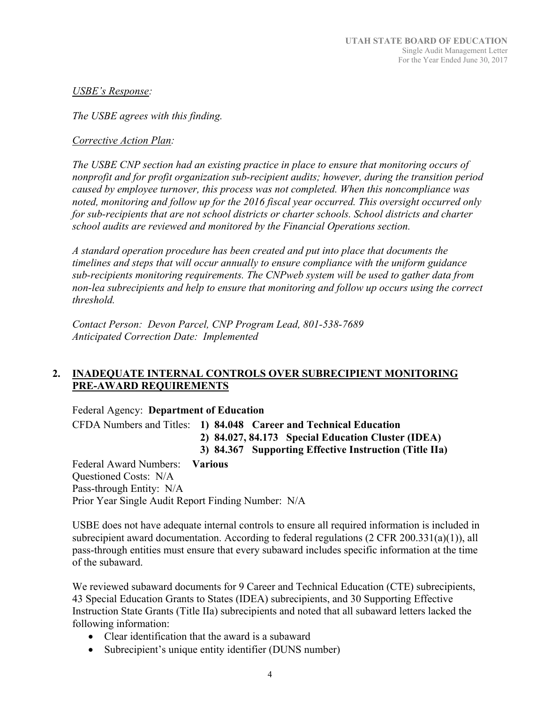#### *USBE's Response:*

*The USBE agrees with this finding.* 

#### *Corrective Action Plan:*

*The USBE CNP section had an existing practice in place to ensure that monitoring occurs of nonprofit and for profit organization sub‐recipient audits; however, during the transition period caused by employee turnover, this process was not completed. When this noncompliance was noted, monitoring and follow up for the 2016 fiscal year occurred. This oversight occurred only for sub‐recipients that are not school districts or charter schools. School districts and charter school audits are reviewed and monitored by the Financial Operations section.* 

*A standard operation procedure has been created and put into place that documents the timelines and steps that will occur annually to ensure compliance with the uniform guidance sub‐recipients monitoring requirements. The CNPweb system will be used to gather data from non‐lea subrecipients and help to ensure that monitoring and follow up occurs using the correct threshold.* 

*Contact Person: Devon Parcel, CNP Program Lead, 801‐538‐7689 Anticipated Correction Date: Implemented* 

#### **2. INADEQUATE INTERNAL CONTROLS OVER SUBRECIPIENT MONITORING PRE-AWARD REQUIREMENTS**

Federal Agency: **Department of Education** 

CFDA Numbers and Titles: **1) 84.048 Career and Technical Education 2) 84.027, 84.173 Special Education Cluster (IDEA)** 

 **3) 84.367 Supporting Effective Instruction (Title IIa)** 

Federal Award Numbers: **Various**  Questioned Costs: N/A Pass-through Entity: N/A Prior Year Single Audit Report Finding Number: N/A

USBE does not have adequate internal controls to ensure all required information is included in subrecipient award documentation. According to federal regulations (2 CFR 200.331(a)(1)), all pass-through entities must ensure that every subaward includes specific information at the time of the subaward.

We reviewed subaward documents for 9 Career and Technical Education (CTE) subrecipients, 43 Special Education Grants to States (IDEA) subrecipients, and 30 Supporting Effective Instruction State Grants (Title IIa) subrecipients and noted that all subaward letters lacked the following information:

- Clear identification that the award is a subaward
- Subrecipient's unique entity identifier (DUNS number)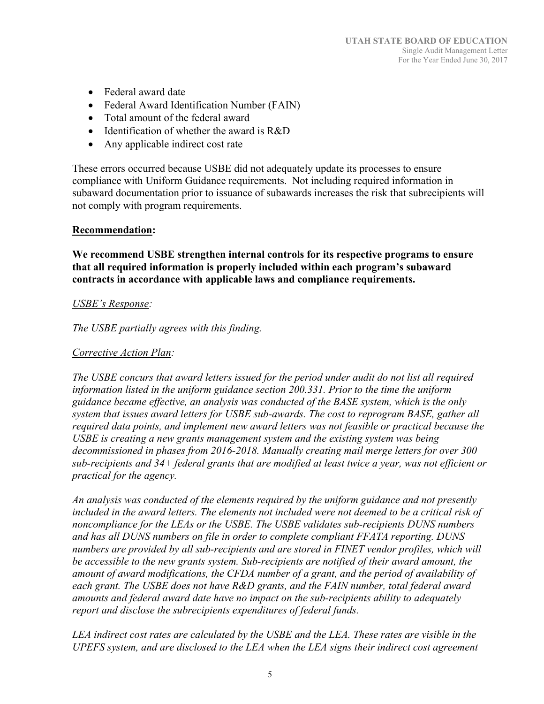- Federal award date
- Federal Award Identification Number (FAIN)
- Total amount of the federal award
- Identification of whether the award is  $R&D$
- Any applicable indirect cost rate

These errors occurred because USBE did not adequately update its processes to ensure compliance with Uniform Guidance requirements. Not including required information in subaward documentation prior to issuance of subawards increases the risk that subrecipients will not comply with program requirements.

#### **Recommendation:**

**We recommend USBE strengthen internal controls for its respective programs to ensure that all required information is properly included within each program's subaward contracts in accordance with applicable laws and compliance requirements.** 

#### *USBE's Response:*

*The USBE partially agrees with this finding.* 

#### *Corrective Action Plan:*

*The USBE concurs that award letters issued for the period under audit do not list all required information listed in the uniform guidance section 200.331. Prior to the time the uniform guidance became effective, an analysis was conducted of the BASE system, which is the only system that issues award letters for USBE sub‐awards. The cost to reprogram BASE, gather all required data points, and implement new award letters was not feasible or practical because the USBE is creating a new grants management system and the existing system was being decommissioned in phases from 2016‐2018. Manually creating mail merge letters for over 300 sub‐recipients and 34+ federal grants that are modified at least twice a year, was not efficient or practical for the agency.* 

*An analysis was conducted of the elements required by the uniform guidance and not presently included in the award letters. The elements not included were not deemed to be a critical risk of noncompliance for the LEAs or the USBE. The USBE validates sub‐recipients DUNS numbers and has all DUNS numbers on file in order to complete compliant FFATA reporting. DUNS numbers are provided by all sub‐recipients and are stored in FINET vendor profiles, which will be accessible to the new grants system. Sub‐recipients are notified of their award amount, the amount of award modifications, the CFDA number of a grant, and the period of availability of each grant. The USBE does not have R&D grants, and the FAIN number, total federal award amounts and federal award date have no impact on the sub‐recipients ability to adequately report and disclose the subrecipients expenditures of federal funds.* 

*LEA indirect cost rates are calculated by the USBE and the LEA. These rates are visible in the UPEFS system, and are disclosed to the LEA when the LEA signs their indirect cost agreement*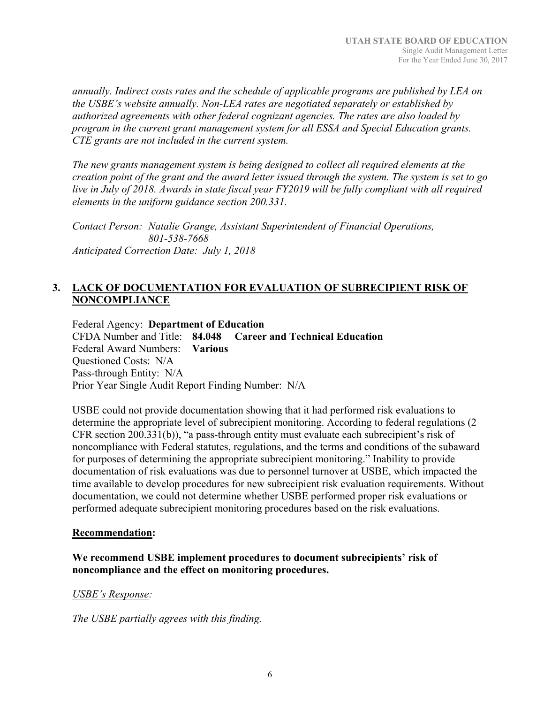*annually. Indirect costs rates and the schedule of applicable programs are published by LEA on the USBE's website annually. Non‐LEA rates are negotiated separately or established by authorized agreements with other federal cognizant agencies. The rates are also loaded by program in the current grant management system for all ESSA and Special Education grants. CTE grants are not included in the current system.* 

*The new grants management system is being designed to collect all required elements at the creation point of the grant and the award letter issued through the system. The system is set to go live in July of 2018. Awards in state fiscal year FY2019 will be fully compliant with all required elements in the uniform guidance section 200.331.* 

*Contact Person: Natalie Grange, Assistant Superintendent of Financial Operations, 801‐538‐7668 Anticipated Correction Date: July 1, 2018*

#### **3. LACK OF DOCUMENTATION FOR EVALUATION OF SUBRECIPIENT RISK OF NONCOMPLIANCE**

Federal Agency: **Department of Education**  CFDA Number and Title: **84.048 Career and Technical Education**  Federal Award Numbers: **Various**  Questioned Costs: N/A Pass-through Entity: N/A Prior Year Single Audit Report Finding Number: N/A

USBE could not provide documentation showing that it had performed risk evaluations to determine the appropriate level of subrecipient monitoring. According to federal regulations (2 CFR section 200.331(b)), "a pass-through entity must evaluate each subrecipient's risk of noncompliance with Federal statutes, regulations, and the terms and conditions of the subaward for purposes of determining the appropriate subrecipient monitoring." Inability to provide documentation of risk evaluations was due to personnel turnover at USBE, which impacted the time available to develop procedures for new subrecipient risk evaluation requirements. Without documentation, we could not determine whether USBE performed proper risk evaluations or performed adequate subrecipient monitoring procedures based on the risk evaluations.

#### **Recommendation:**

#### **We recommend USBE implement procedures to document subrecipients' risk of noncompliance and the effect on monitoring procedures.**

#### *USBE's Response:*

*The USBE partially agrees with this finding.*